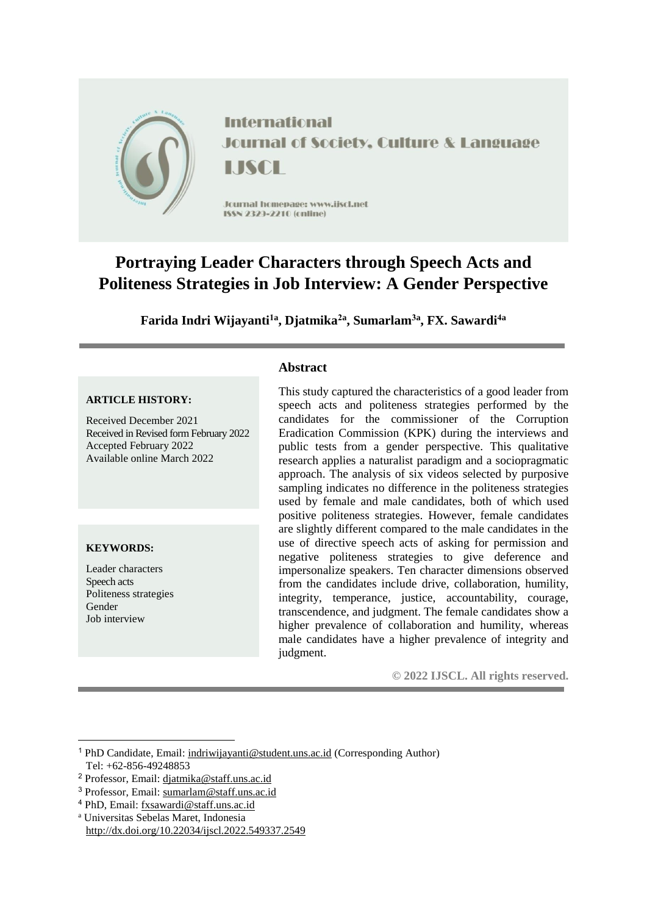

# **Portraying Leader Characters through Speech Acts and Politeness Strategies in Job Interview: A Gender Perspective**

**Farida Indri Wijayanti1a , Djatmika2a , Sumarlam3a , FX. Sawardi4a**

### **ARTICLE HISTORY:**

Received December 2021 Received in Revised form February 2022 Accepted February 2022 Available online March 2022

### **KEYWORDS:**

Leader characters Speech acts Politeness strategies Gender Job interview

### **Abstract**

This study captured the characteristics of a good leader from speech acts and politeness strategies performed by the candidates for the commissioner of the Corruption Eradication Commission (KPK) during the interviews and public tests from a gender perspective. This qualitative research applies a naturalist paradigm and a sociopragmatic approach. The analysis of six videos selected by purposive sampling indicates no difference in the politeness strategies used by female and male candidates, both of which used positive politeness strategies. However, female candidates are slightly different compared to the male candidates in the use of directive speech acts of asking for permission and negative politeness strategies to give deference and impersonalize speakers. Ten character dimensions observed from the candidates include drive, collaboration, humility, integrity, temperance, justice, accountability, courage, transcendence, and judgment. The female candidates show a higher prevalence of collaboration and humility, whereas male candidates have a higher prevalence of integrity and judgment.

**© 2022 IJSCL. All rights reserved.**

<sup>a</sup> Universitas Sebelas Maret, Indonesia http://dx.doi.org/10.22034/ijscl.2022.549337.2549

<sup>1</sup> <sup>1</sup> PhD Candidate, Email: [indriwijayanti@student.uns.ac.id](mailto:indriwijayanti@student.uns.ac.id) (Corresponding Author) Tel: +62-856-49248853

<sup>2</sup> Professor, Email: [djatmika@staff.uns.ac.id](mailto:djatmika@staff.uns.ac.id)

<sup>3</sup> Professor, Email: [sumarlam@staff.uns.ac.id](mailto:sumarlam@staff.uns.ac.id)

<sup>4</sup> PhD, Email: [fxsawardi@staff.uns.ac.id](mailto:fxsawardi@staff.uns.ac.id)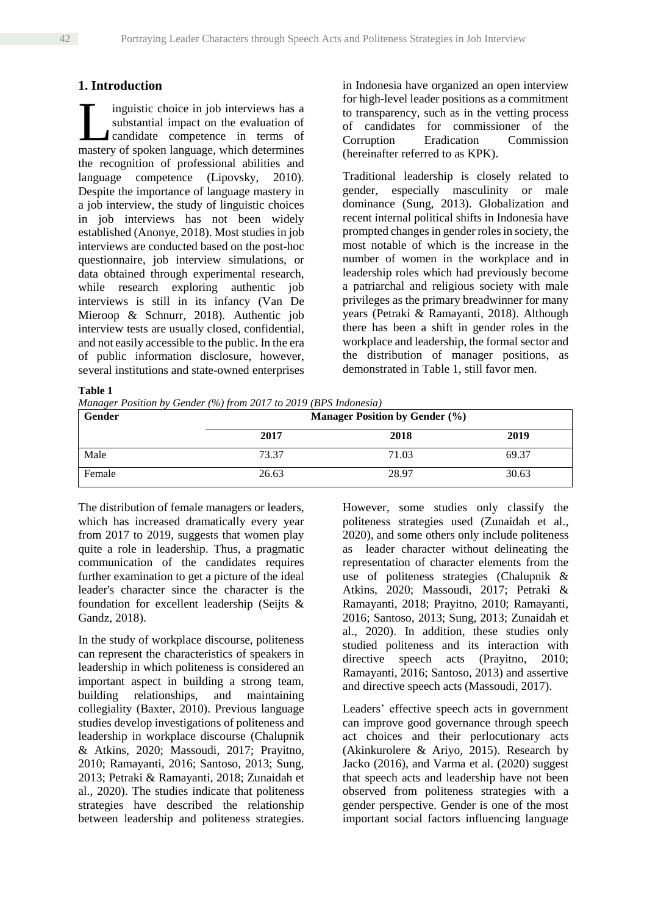# **1. Introduction**

inguistic choice in job interviews has a substantial impact on the evaluation of candidate competence in terms of Inguistic choice in job interviews has a substantial impact on the evaluation of candidate competence in terms of mastery of spoken language, which determines the recognition of professional abilities and language competence (Lipovsky, 2010). Despite the importance of language mastery in a job interview, the study of linguistic choices in job interviews has not been widely established (Anonye, 2018). Most studies in job interviews are conducted based on the post-hoc questionnaire, job interview simulations, or data obtained through experimental research, while research exploring authentic job interviews is still in its infancy (Van De Mieroop & Schnurr, 2018). Authentic job interview tests are usually closed, confidential, and not easily accessible to the public. In the era of public information disclosure, however, several institutions and state-owned enterprises in Indonesia have organized an open interview for high-level leader positions as a commitment to transparency, such as in the vetting process of candidates for commissioner of the Corruption Eradication Commission (hereinafter referred to as KPK).

Traditional leadership is closely related to gender, especially masculinity or male dominance (Sung, 2013). Globalization and recent internal political shifts in Indonesia have prompted changes in gender roles in society, the most notable of which is the increase in the number of women in the workplace and in leadership roles which had previously become a patriarchal and religious society with male privileges as the primary breadwinner for many years (Petraki & Ramayanti, 2018). Although there has been a shift in gender roles in the workplace and leadership, the formal sector and the distribution of manager positions, as demonstrated in Table 1, still favor men.

**Table 1**

*Manager Position by Gender (%) from 2017 to 2019 (BPS Indonesia)*

| Gender | $\cdot$ $\cdot$ | <b>Manager Position by Gender (%)</b> |       |
|--------|-----------------|---------------------------------------|-------|
|        | 2017            | 2018                                  | 2019  |
| Male   | 73.37           | 71.03                                 | 69.37 |
| Female | 26.63           | 28.97                                 | 30.63 |

The distribution of female managers or leaders, which has increased dramatically every year from 2017 to 2019, suggests that women play quite a role in leadership. Thus, a pragmatic communication of the candidates requires further examination to get a picture of the ideal leader's character since the character is the foundation for excellent leadership (Seijts & Gandz, 2018).

In the study of workplace discourse, politeness can represent the characteristics of speakers in leadership in which politeness is considered an important aspect in building a strong team, building relationships, and maintaining collegiality (Baxter, 2010). Previous language studies develop investigations of politeness and leadership in workplace discourse (Chalupnik & Atkins, 2020; Massoudi, 2017; Prayitno, 2010; Ramayanti, 2016; Santoso, 2013; Sung, 2013; Petraki & Ramayanti, 2018; Zunaidah et al., 2020). The studies indicate that politeness strategies have described the relationship between leadership and politeness strategies. However, some studies only classify the politeness strategies used (Zunaidah et al., 2020), and some others only include politeness as leader character without delineating the representation of character elements from the use of politeness strategies (Chalupnik & Atkins, 2020; Massoudi, 2017; Petraki & Ramayanti, 2018; Prayitno, 2010; Ramayanti, 2016; Santoso, 2013; Sung, 2013; Zunaidah et al., 2020). In addition, these studies only studied politeness and its interaction with directive speech acts (Prayitno, 2010; Ramayanti, 2016; Santoso, 2013) and assertive and directive speech acts (Massoudi, 2017).

Leaders' effective speech acts in government can improve good governance through speech act choices and their perlocutionary acts (Akinkurolere & Ariyo, 2015). Research by Jacko (2016), and Varma et al. (2020) suggest that speech acts and leadership have not been observed from politeness strategies with a gender perspective. Gender is one of the most important social factors influencing language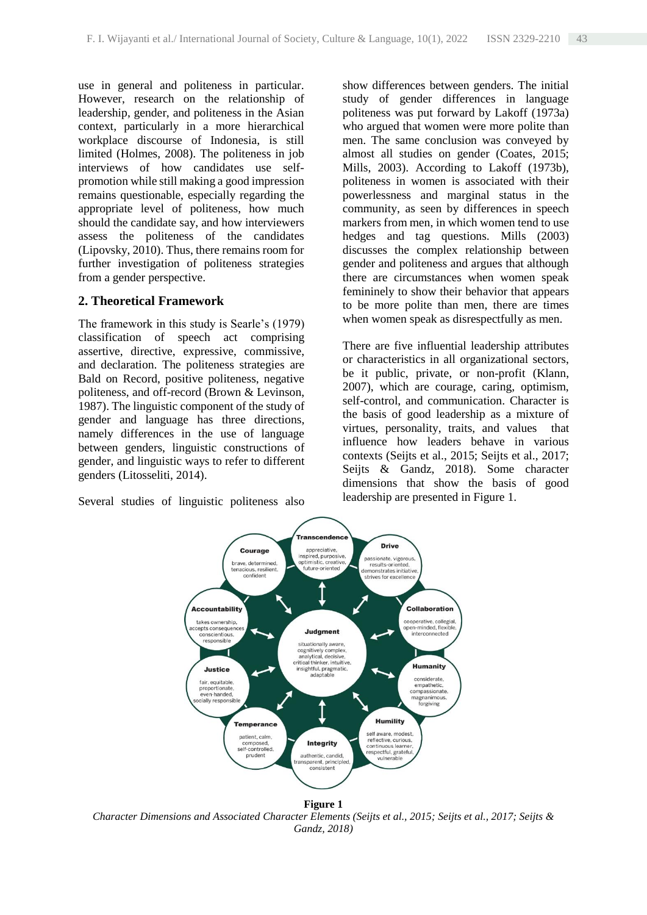use in general and politeness in particular. However, research on the relationship of leadership, gender, and politeness in the Asian context, particularly in a more hierarchical workplace discourse of Indonesia, is still limited (Holmes, 2008). The politeness in job interviews of how candidates use selfpromotion while still making a good impression remains questionable, especially regarding the appropriate level of politeness, how much should the candidate say, and how interviewers assess the politeness of the candidates (Lipovsky, 2010). Thus, there remains room for further investigation of politeness strategies from a gender perspective.

# **2. Theoretical Framework**

The framework in this study is Searle's (1979) classification of speech act comprising assertive, directive, expressive, commissive, and declaration. The politeness strategies are Bald on Record, positive politeness, negative politeness, and off-record (Brown & Levinson, 1987). The linguistic component of the study of gender and language has three directions, namely differences in the use of language between genders, linguistic constructions of gender, and linguistic ways to refer to different genders (Litosseliti, 2014).

Several studies of linguistic politeness also

show differences between genders. The initial study of gender differences in language politeness was put forward by Lakoff (1973a) who argued that women were more polite than men. The same conclusion was conveyed by almost all studies on gender (Coates, 2015; Mills, 2003). According to Lakoff (1973b), politeness in women is associated with their powerlessness and marginal status in the community, as seen by differences in speech markers from men, in which women tend to use hedges and tag questions. Mills (2003) discusses the complex relationship between gender and politeness and argues that although there are circumstances when women speak femininely to show their behavior that appears to be more polite than men, there are times when women speak as disrespectfully as men.

There are five influential leadership attributes or characteristics in all organizational sectors, be it public, private, or non-profit (Klann, 2007), which are courage, caring, optimism, self-control, and communication. Character is the basis of good leadership as a mixture of virtues, personality, traits, and values that influence how leaders behave in various contexts (Seijts et al., 2015; Seijts et al., 2017; Seijts & Gandz, 2018). Some character dimensions that show the basis of good leadership are presented in Figure 1.



**Figure 1** *Character Dimensions and Associated Character Elements (Seijts et al., 2015; Seijts et al., 2017; Seijts & Gandz, 2018)*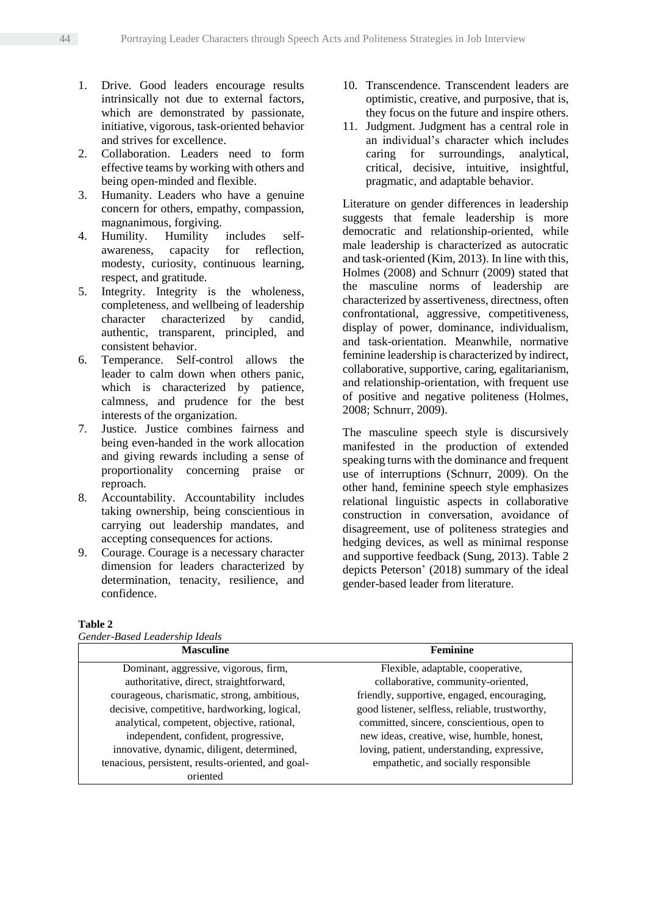- 1. Drive. Good leaders encourage results intrinsically not due to external factors, which are demonstrated by passionate, initiative, vigorous, task-oriented behavior and strives for excellence.
- 2. Collaboration. Leaders need to form effective teams by working with others and being open-minded and flexible.
- 3. Humanity. Leaders who have a genuine concern for others, empathy, compassion, magnanimous, forgiving.
- 4. Humility. Humility includes selfawareness, capacity for reflection, modesty, curiosity, continuous learning, respect, and gratitude.
- 5. Integrity. Integrity is the wholeness, completeness, and wellbeing of leadership character characterized by candid, authentic, transparent, principled, and consistent behavior.
- 6. Temperance. Self-control allows the leader to calm down when others panic, which is characterized by patience, calmness, and prudence for the best interests of the organization.
- 7. Justice. Justice combines fairness and being even-handed in the work allocation and giving rewards including a sense of proportionality concerning praise or reproach.
- 8. Accountability. Accountability includes taking ownership, being conscientious in carrying out leadership mandates, and accepting consequences for actions.
- 9. Courage. Courage is a necessary character dimension for leaders characterized by determination, tenacity, resilience, and confidence.
- 10. Transcendence. Transcendent leaders are optimistic, creative, and purposive, that is, they focus on the future and inspire others.
- 11. Judgment. Judgment has a central role in an individual's character which includes caring for surroundings, analytical, critical, decisive, intuitive, insightful, pragmatic, and adaptable behavior.

Literature on gender differences in leadership suggests that female leadership is more democratic and relationship-oriented, while male leadership is characterized as autocratic and task-oriented (Kim, 2013). In line with this, Holmes (2008) and Schnurr (2009) stated that the masculine norms of leadership are characterized by assertiveness, directness, often confrontational, aggressive, competitiveness, display of power, dominance, individualism, and task-orientation. Meanwhile, normative feminine leadership is characterized by indirect, collaborative, supportive, caring, egalitarianism, and relationship-orientation, with frequent use of positive and negative politeness (Holmes, 2008; Schnurr, 2009).

The masculine speech style is discursively manifested in the production of extended speaking turns with the dominance and frequent use of interruptions (Schnurr, 2009). On the other hand, feminine speech style emphasizes relational linguistic aspects in collaborative construction in conversation, avoidance of disagreement, use of politeness strategies and hedging devices, as well as minimal response and supportive feedback (Sung, 2013). Table 2 depicts Peterson' (2018) summary of the ideal gender-based leader from literature.

#### **Table 2**

| <b>Masculine</b>                                   | <b>Feminine</b>                                 |
|----------------------------------------------------|-------------------------------------------------|
| Dominant, aggressive, vigorous, firm,              | Flexible, adaptable, cooperative,               |
| authoritative, direct, straightforward,            | collaborative, community-oriented,              |
| courageous, charismatic, strong, ambitious,        | friendly, supportive, engaged, encouraging,     |
| decisive, competitive, hardworking, logical,       | good listener, selfless, reliable, trustworthy, |
| analytical, competent, objective, rational,        | committed, sincere, conscientious, open to      |
| independent, confident, progressive,               | new ideas, creative, wise, humble, honest,      |
| innovative, dynamic, diligent, determined,         | loving, patient, understanding, expressive,     |
| tenacious, persistent, results-oriented, and goal- | empathetic, and socially responsible            |
| oriented                                           |                                                 |

*Gender-Based Leadership Ideals*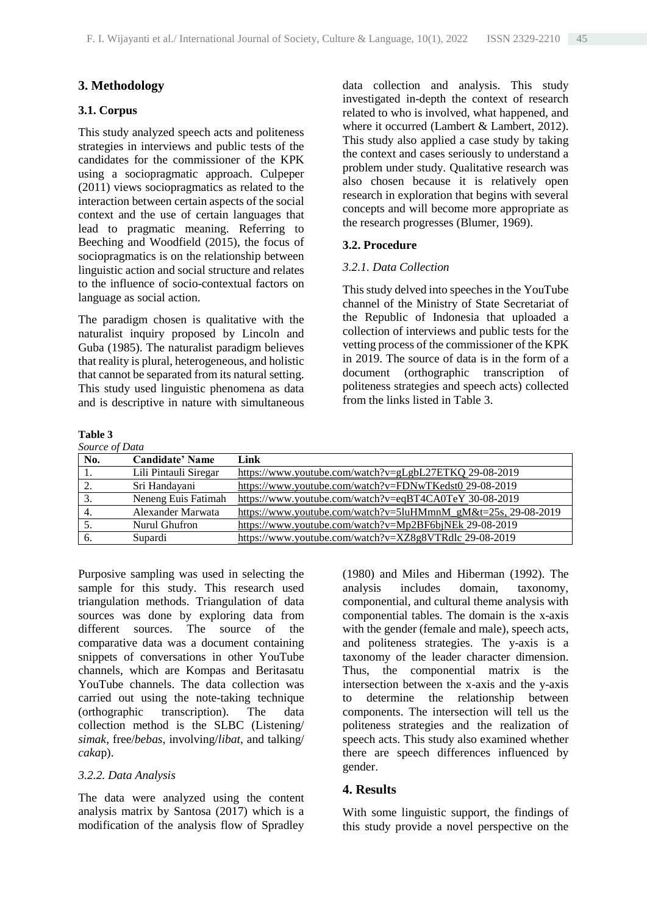## **3. Methodology**

### **3.1. Corpus**

This study analyzed speech acts and politeness strategies in interviews and public tests of the candidates for the commissioner of the KPK using a sociopragmatic approach. Culpeper (2011) views sociopragmatics as related to the interaction between certain aspects of the social context and the use of certain languages that lead to pragmatic meaning. Referring to Beeching and Woodfield (2015), the focus of sociopragmatics is on the relationship between linguistic action and social structure and relates to the influence of socio-contextual factors on language as social action.

The paradigm chosen is qualitative with the naturalist inquiry proposed by Lincoln and Guba (1985). The naturalist paradigm believes that reality is plural, heterogeneous, and holistic that cannot be separated from its natural setting. This study used linguistic phenomena as data and is descriptive in nature with simultaneous

## data collection and analysis. This study investigated in-depth the context of research related to who is involved, what happened, and where it occurred (Lambert & Lambert, 2012). This study also applied a case study by taking the context and cases seriously to understand a problem under study. Qualitative research was also chosen because it is relatively open research in exploration that begins with several concepts and will become more appropriate as the research progresses (Blumer, 1969).

### **3.2. Procedure**

### *3.2.1. Data Collection*

This study delved into speeches in the YouTube channel of the Ministry of State Secretariat of the Republic of Indonesia that uploaded a collection of interviews and public tests for the vetting process of the commissioner of the KPK in 2019. The source of data is in the form of a document (orthographic transcription of politeness strategies and speech acts) collected from the links listed in Table 3.

# **Table 3**

|--|

| <i>source of Data</i> |                        |                                                               |
|-----------------------|------------------------|---------------------------------------------------------------|
| No.                   | <b>Candidate' Name</b> | Link                                                          |
|                       | Lili Pintauli Siregar  | https://www.youtube.com/watch?v=gLgbL27ETKQ 29-08-2019        |
|                       | Sri Handayani          | https://www.youtube.com/watch?v=FDNwTKedst0 29-08-2019        |
| 3.                    | Neneng Euis Fatimah    | https://www.youtube.com/watch?v=eqBT4CA0TeY_30-08-2019        |
|                       | Alexander Marwata      | https://www.youtube.com/watch?v=5luHMmnM_gM&t=25s, 29-08-2019 |
|                       | Nurul Ghufron          | https://www.youtube.com/watch?v=Mp2BF6bjNEk 29-08-2019        |
| 6.                    | Supardi                | https://www.youtube.com/watch?v=XZ8g8VTRdlc 29-08-2019        |

Purposive sampling was used in selecting the sample for this study. This research used triangulation methods. Triangulation of data sources was done by exploring data from different sources. The source of the comparative data was a document containing snippets of conversations in other YouTube channels, which are Kompas and Beritasatu YouTube channels. The data collection was carried out using the note-taking technique (orthographic transcription). The data collection method is the SLBC (Listening/ *simak*, free/*bebas*, involving/*libat*, and talking/ *caka*p).

#### *3.2.2. Data Analysis*

The data were analyzed using the content analysis matrix by Santosa (2017) which is a modification of the analysis flow of Spradley (1980) and Miles and Hiberman (1992). The analysis includes domain, taxonomy, componential, and cultural theme analysis with componential tables. The domain is the x-axis with the gender (female and male), speech acts, and politeness strategies. The y-axis is a taxonomy of the leader character dimension. Thus, the componential matrix is the intersection between the x-axis and the y-axis to determine the relationship between components. The intersection will tell us the politeness strategies and the realization of speech acts. This study also examined whether there are speech differences influenced by gender.

### **4. Results**

With some linguistic support, the findings of this study provide a novel perspective on the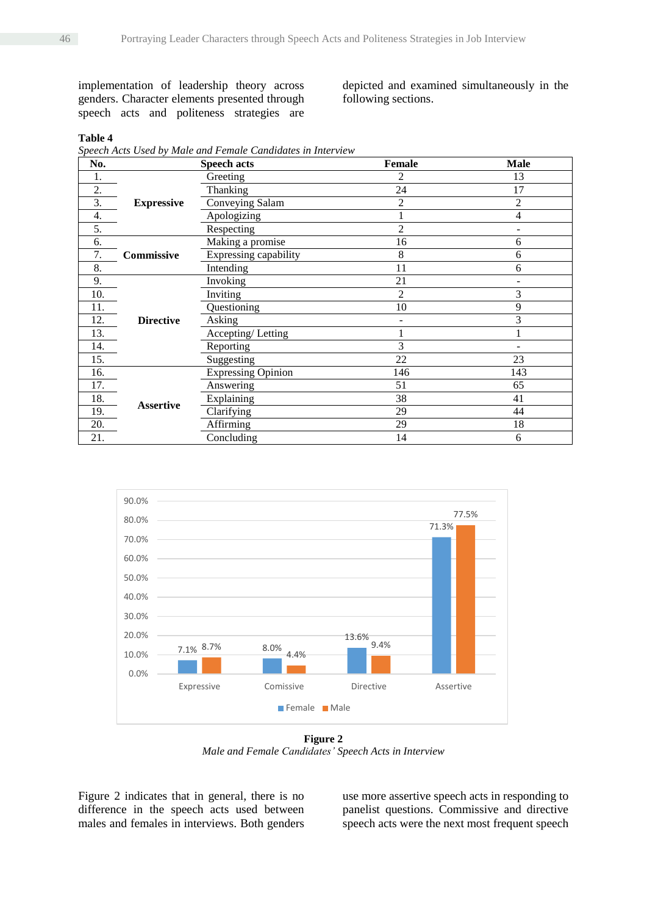implementation of leadership theory across genders. Character elements presented through speech acts and politeness strategies are

depicted and examined simultaneously in the following sections.

### **Table 4**

*Speech Acts Used by Male and Female Candidates in Interview*

| No.              |                   | <b>Speech acts</b>        | <b>Female</b> | <b>Male</b> |
|------------------|-------------------|---------------------------|---------------|-------------|
| 1.               |                   | Greeting                  |               | 13          |
| 2.               |                   | Thanking                  | 24            | 17          |
| $\overline{3}$ . | <b>Expressive</b> | Conveying Salam           | 2             | 2           |
| 4.               |                   | Apologizing               |               | 4           |
| 5.               |                   | Respecting                | 2             |             |
| 6.               |                   | Making a promise          | 16            | 6           |
| 7.               | Commissive        | Expressing capability     | 8             | 6           |
| 8.               |                   | Intending                 | 11            | 6           |
| 9.               |                   | Invoking                  | 21            |             |
| 10.              | <b>Directive</b>  | Inviting                  | 2             | 3           |
| 11.              |                   | Questioning               | 10            | 9           |
| 12.              |                   | Asking                    |               | 3           |
| 13.              |                   | Accepting/Letting         |               |             |
| 14.              |                   | Reporting                 | 3             |             |
| 15.              |                   | Suggesting                | 22            | 23          |
| 16.              |                   | <b>Expressing Opinion</b> | 146           | 143         |
| 17.              |                   | Answering                 | 51            | 65          |
| 18.              |                   | Explaining                | 38            | 41          |
| 19.              | <b>Assertive</b>  | Clarifying                | 29            | 44          |
| 20.              |                   | Affirming                 | 29            | 18          |
| 21.              |                   | Concluding                | 14            | 6           |



**Figure 2** *Male and Female Candidates' Speech Acts in Interview*

Figure 2 indicates that in general, there is no difference in the speech acts used between males and females in interviews. Both genders use more assertive speech acts in responding to panelist questions. Commissive and directive speech acts were the next most frequent speech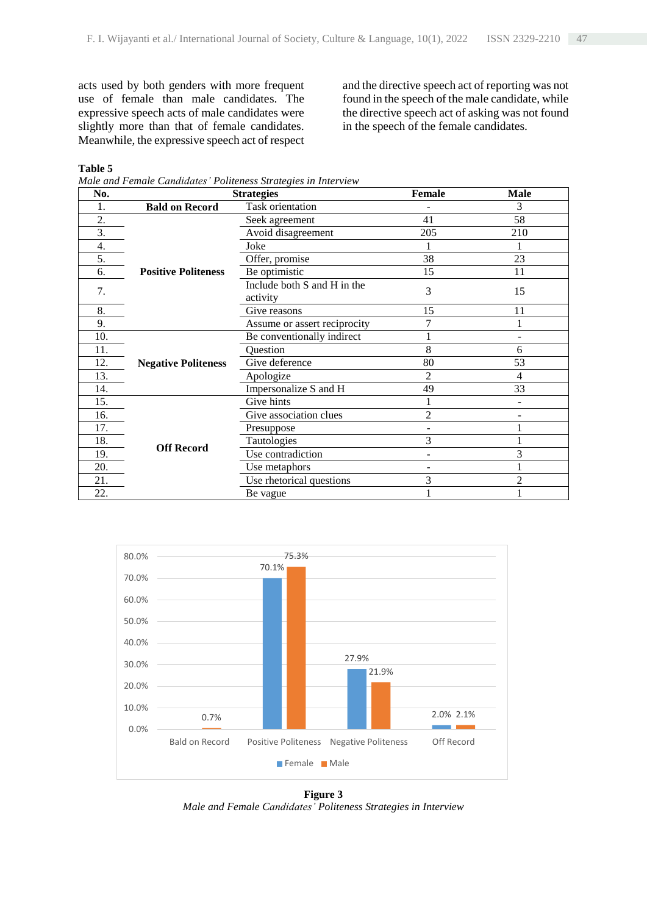acts used by both genders with more frequent use of female than male candidates. The expressive speech acts of male candidates were slightly more than that of female candidates. Meanwhile, the expressive speech act of respect and the directive speech act of reporting was not found in the speech of the male candidate, while the directive speech act of asking was not found in the speech of the female candidates.

#### **Table 5**

*Male and Female Candidates' Politeness Strategies in Interview*

| No.              |                            | <b>Strategies</b>                       | Female         | <b>Male</b> |
|------------------|----------------------------|-----------------------------------------|----------------|-------------|
| 1.               | <b>Bald on Record</b>      | Task orientation                        |                | 3           |
| 2.               |                            | Seek agreement                          | 41             | 58          |
| $\overline{3}$ . |                            | Avoid disagreement                      | 205            | 210         |
| 4.               |                            | Joke                                    |                |             |
| 5.               |                            | Offer, promise                          | 38             | 23          |
| 6.               | <b>Positive Politeness</b> | Be optimistic                           | 15             | 11          |
| 7.               |                            | Include both S and H in the<br>activity | 3              | 15          |
| 8.               |                            | Give reasons                            | 15             | 11          |
| 9.               |                            | Assume or assert reciprocity            | 7              |             |
| 10.              |                            | Be conventionally indirect              |                |             |
| 11.              |                            | Question                                | 8              | 6           |
| 12.              | <b>Negative Politeness</b> | Give deference                          | 80             | 53          |
| 13.              |                            | Apologize                               | 2              | 4           |
| 14.              |                            | Impersonalize S and H                   | 49             | 33          |
| 15.              |                            | Give hints                              |                |             |
| 16.              |                            | Give association clues                  | $\overline{2}$ |             |
| 17.              | <b>Off Record</b>          | Presuppose                              |                |             |
| 18.              |                            | Tautologies                             | 3              |             |
| 19.              |                            | Use contradiction                       |                | 3           |
| 20.              |                            | Use metaphors                           |                |             |
| 21.              |                            | Use rhetorical questions                | 3              | 2           |
| 22.              |                            | Be vague                                |                |             |



**Figure 3** *Male and Female Candidates' Politeness Strategies in Interview*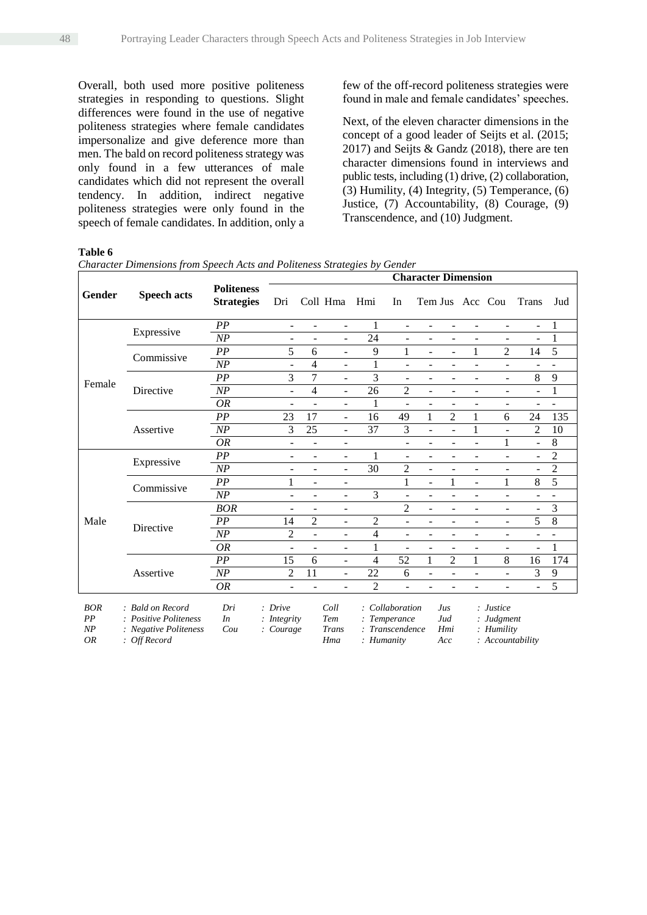Overall, both used more positive politeness strategies in responding to questions. Slight differences were found in the use of negative politeness strategies where female candidates impersonalize and give deference more than men. The bald on record politeness strategy was only found in a few utterances of male candidates which did not represent the overall tendency. In addition, indirect negative politeness strategies were only found in the speech of female candidates. In addition, only a few of the off-record politeness strategies were found in male and female candidates' speeches.

Next, of the eleven character dimensions in the concept of a good leader of Seijts et al. (2015; 2017) and Seijts & Gandz (2018), there are ten character dimensions found in interviews and public tests, including (1) drive, (2) collaboration, (3) Humility, (4) Integrity, (5) Temperance, (6) Justice, (7) Accountability, (8) Courage, (9) Transcendence, and (10) Judgment.

#### **Table 6**

|                   | <b>Speech acts</b>                               | <b>Politeness</b><br><b>Strategies</b> | <b>Character Dimension</b>                           |                          |                          |                |                          |                          |                                    |                          |                                                                                                                                                             |                              |                |
|-------------------|--------------------------------------------------|----------------------------------------|------------------------------------------------------|--------------------------|--------------------------|----------------|--------------------------|--------------------------|------------------------------------|--------------------------|-------------------------------------------------------------------------------------------------------------------------------------------------------------|------------------------------|----------------|
| Gender            |                                                  |                                        | Dri                                                  |                          | Coll Hma                 | Hmi            | In                       | Tem Jus Acc Cou          |                                    |                          |                                                                                                                                                             | Trans                        | Jud            |
|                   |                                                  | PP                                     | $\overline{\phantom{0}}$                             | $\overline{\phantom{0}}$ | $\overline{\phantom{a}}$ | 1              | $\overline{\phantom{0}}$ | $\overline{\phantom{0}}$ | $\overline{\phantom{a}}$           | -                        | $\overline{\phantom{a}}$                                                                                                                                    | $\overline{a}$               | 1              |
|                   | Expressive                                       | NP                                     |                                                      |                          |                          | 24             |                          |                          |                                    |                          |                                                                                                                                                             | $\overline{a}$               | 1              |
|                   | Commissive                                       | PP                                     | 5                                                    | 6                        | $\blacksquare$           | 9              | 1                        | $\overline{a}$           | $\overline{a}$                     | 1                        | $\overline{2}$                                                                                                                                              | 14                           | 5              |
|                   |                                                  | NP                                     | $\overline{a}$                                       | 4                        | $\overline{\phantom{a}}$ | 1              | $\overline{\phantom{0}}$ |                          | $\overline{\phantom{a}}$           | -                        | $\blacksquare$                                                                                                                                              |                              |                |
| Female            |                                                  | PP                                     | 3                                                    | 7                        | $\overline{\phantom{a}}$ | 3              | -                        |                          | ÷                                  | -                        | $\overline{\phantom{a}}$                                                                                                                                    | 8                            | 9              |
|                   | Directive                                        | NP                                     | $\overline{a}$                                       | 4                        | $\overline{\phantom{a}}$ | 26             | $\overline{2}$           |                          | ÷                                  | ۰                        | $\overline{\phantom{a}}$                                                                                                                                    | $\overline{a}$               |                |
|                   |                                                  | <b>OR</b>                              |                                                      |                          | $\blacksquare$           | $\mathbf{1}$   |                          |                          |                                    |                          |                                                                                                                                                             |                              |                |
|                   | Assertive                                        | PP                                     | 23                                                   | 17                       | $\overline{a}$           | 16             | 49                       | 1                        | 2                                  | 1                        | 6                                                                                                                                                           | 24                           | 135            |
|                   |                                                  | NP                                     | 3                                                    | 25                       | $\overline{\phantom{a}}$ | 37             | 3                        | ÷,                       | $\overline{\phantom{a}}$           | 1                        | $\blacksquare$                                                                                                                                              | $\overline{2}$               | 10             |
|                   |                                                  | 0R                                     | $\overline{\phantom{0}}$                             | $\overline{a}$           | $\overline{\phantom{a}}$ |                | $\overline{\phantom{0}}$ | $\blacksquare$           | $\overline{a}$                     | $\overline{\phantom{0}}$ | $\mathbf{1}$                                                                                                                                                | $\qquad \qquad \blacksquare$ | 8              |
|                   | Expressive                                       | PP                                     | -                                                    | ÷                        | $\overline{\phantom{a}}$ | 1              |                          |                          |                                    |                          | $\overline{\phantom{a}}$                                                                                                                                    | ÷                            | $\overline{c}$ |
|                   |                                                  | NP                                     | ÷                                                    | ÷                        | $\blacksquare$           | 30             | $\overline{2}$           |                          |                                    | ۳                        | $\blacksquare$                                                                                                                                              | $\overline{a}$               | $\overline{c}$ |
|                   | Commissive                                       | PP                                     | 1                                                    | ÷                        | $\overline{\phantom{a}}$ |                |                          | $\overline{a}$           | 1                                  | ÷,                       | 1                                                                                                                                                           | 8                            | 5              |
|                   |                                                  | NP                                     | -                                                    | ÷                        | $\overline{\phantom{a}}$ | 3              |                          | $\blacksquare$           | $\overline{\phantom{a}}$           | ۰                        | $\blacksquare$                                                                                                                                              |                              |                |
|                   | Directive                                        | <b>BOR</b>                             | ÷                                                    | ÷                        | $\overline{\phantom{a}}$ |                | $\overline{2}$           | L.                       | ÷                                  | $\overline{\phantom{0}}$ | $\blacksquare$                                                                                                                                              | $\blacksquare$               | 3              |
| Male              |                                                  | PP                                     | 14                                                   | $\overline{c}$           | $\overline{\phantom{a}}$ | $\overline{c}$ | ÷.                       |                          |                                    | L,                       | $\overline{\phantom{a}}$                                                                                                                                    | 5                            | 8              |
|                   |                                                  | NP                                     | $\overline{2}$                                       | $\overline{a}$           | $\overline{\phantom{a}}$ | 4              | ÷.                       |                          |                                    |                          | $\blacksquare$                                                                                                                                              |                              |                |
|                   |                                                  | OR                                     | $\overline{a}$                                       | L,                       | $\blacksquare$           | 1              | $\overline{\phantom{0}}$ |                          | ÷                                  | -                        | $\overline{\phantom{a}}$                                                                                                                                    | $\blacksquare$               | 1              |
|                   | Assertive                                        | PP                                     | 15                                                   | 6                        | $\overline{\phantom{a}}$ | $\overline{4}$ | 52                       | 1                        | $\overline{2}$                     | 1                        | 8                                                                                                                                                           | 16                           | 174            |
|                   |                                                  | NP                                     | 2                                                    | 11                       | $\overline{\phantom{a}}$ | 22             | 6                        | $\blacksquare$           | $\overline{\phantom{a}}$           | -                        | $\overline{\phantom{a}}$                                                                                                                                    | 3                            | 9              |
|                   |                                                  | <b>OR</b>                              |                                                      |                          | ۰                        | $\overline{2}$ |                          |                          |                                    |                          |                                                                                                                                                             | $\qquad \qquad \blacksquare$ | 5              |
| <b>BOR</b><br>DD. | : Bald on Record<br>$D = \{t_1, \ldots, D = 1\}$ | Dri<br>$\mathbf{L}$                    | : Drive<br>$\mathbf{L}$ . The state is not set to be |                          | Coll<br>$T$              |                | : Collaboration          |                          | Jus<br>$\mathbf{I}$ . $\mathbf{I}$ |                          | : Justice<br>$\mathbf{L}$ $\mathbf{L}$ $\mathbf{L}$ $\mathbf{L}$ $\mathbf{L}$ $\mathbf{L}$ $\mathbf{L}$ $\mathbf{L}$ $\mathbf{L}$ $\mathbf{L}$ $\mathbf{L}$ |                              |                |

| BOR | : Bald on Record      | Dri | : Drive       | Coll  | : Collaboration | Jus | : Justice                   |
|-----|-----------------------|-----|---------------|-------|-----------------|-----|-----------------------------|
| PP  | : Positive Politeness | In  | $:$ Integrity | Tem   | : Temperance    | Jud | $:$ Judgment                |
| NP  | : Negative Politeness | Cou | : Courage     | Trans | : Transcendence | Hmi | $\therefore$ Humility       |
| OR  | : Off Record          |     |               | Hma   | : Humanity      | Acc | $\therefore$ Accountability |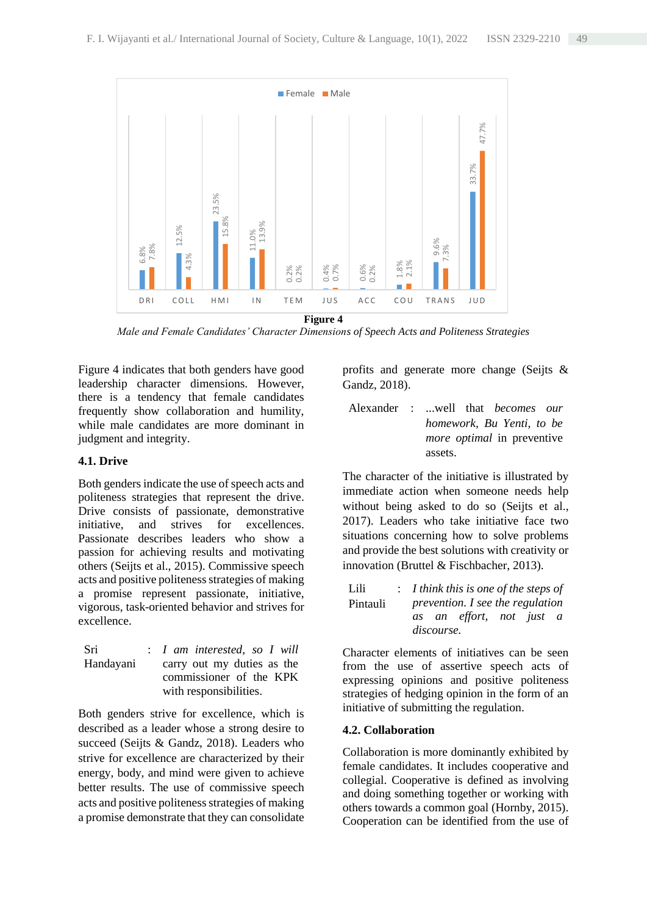

*Male and Female Candidates' Character Dimensions of Speech Acts and Politeness Strategies*

Figure 4 indicates that both genders have good leadership character dimensions. However, there is a tendency that female candidates frequently show collaboration and humility, while male candidates are more dominant in judgment and integrity.

## **4.1. Drive**

Both genders indicate the use of speech acts and politeness strategies that represent the drive. Drive consists of passionate, demonstrative initiative, and strives for excellences. Passionate describes leaders who show a passion for achieving results and motivating others (Seijts et al., 2015). Commissive speech acts and positive politeness strategies of making a promise represent passionate, initiative, vigorous, task-oriented behavior and strives for excellence.

| Sri       | : I am interested, so I will |
|-----------|------------------------------|
| Handayani | carry out my duties as the   |
|           | commissioner of the KPK      |
|           | with responsibilities.       |

Both genders strive for excellence, which is described as a leader whose a strong desire to succeed (Seijts & Gandz, 2018). Leaders who strive for excellence are characterized by their energy, body, and mind were given to achieve better results. The use of commissive speech acts and positive politeness strategies of making a promise demonstrate that they can consolidate profits and generate more change (Seijts & Gandz, 2018).

Alexander : ...well that *becomes our homework, Bu Yenti, to be more optimal* in preventive assets.

The character of the initiative is illustrated by immediate action when someone needs help without being asked to do so (Seijts et al., 2017). Leaders who take initiative face two situations concerning how to solve problems and provide the best solutions with creativity or innovation (Bruttel & Fischbacher, 2013).

| Lili     | $: I$ think this is one of the steps of |
|----------|-----------------------------------------|
| Pintauli | prevention. I see the regulation        |
|          | as an effort, not just a                |
|          | discourse.                              |

Character elements of initiatives can be seen from the use of assertive speech acts of expressing opinions and positive politeness strategies of hedging opinion in the form of an initiative of submitting the regulation.

### **4.2. Collaboration**

Collaboration is more dominantly exhibited by female candidates. It includes cooperative and collegial. Cooperative is defined as involving and doing something together or working with others towards a common goal (Hornby, 2015). Cooperation can be identified from the use of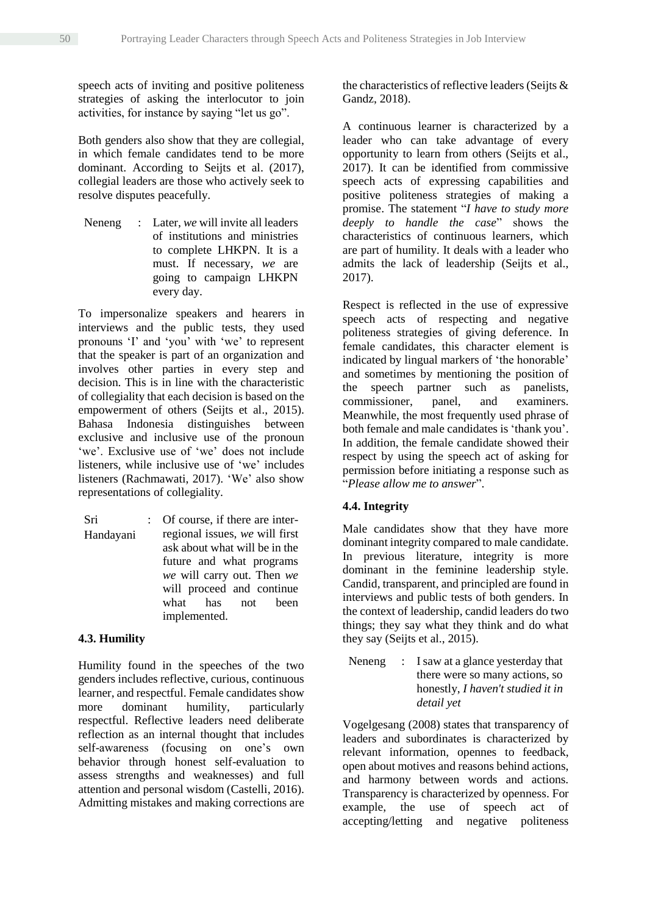speech acts of inviting and positive politeness strategies of asking the interlocutor to join activities, for instance by saying "let us go".

Both genders also show that they are collegial, in which female candidates tend to be more dominant. According to Seijts et al. (2017), collegial leaders are those who actively seek to resolve disputes peacefully.

Neneng : Later, *we* will invite all leaders of institutions and ministries to complete LHKPN. It is a must. If necessary, *we* are going to campaign LHKPN every day.

To impersonalize speakers and hearers in interviews and the public tests, they used pronouns 'I' and 'you' with 'we' to represent that the speaker is part of an organization and involves other parties in every step and decision. This is in line with the characteristic of collegiality that each decision is based on the empowerment of others (Seijts et al., 2015). Bahasa Indonesia distinguishes between exclusive and inclusive use of the pronoun 'we'. Exclusive use of 'we' does not include listeners, while inclusive use of 'we' includes listeners (Rachmawati, 2017). 'We' also show representations of collegiality.

Sri Handayani : Of course, if there are interregional issues, *we* will first ask about what will be in the future and what programs *we* will carry out. Then *we* will proceed and continue what has not been implemented.

# **4.3. Humility**

Humility found in the speeches of the two genders includes reflective, curious, continuous learner, and respectful. Female candidates show more dominant humility, particularly respectful. Reflective leaders need deliberate reflection as an internal thought that includes self-awareness (focusing on one's own behavior through honest self-evaluation to assess strengths and weaknesses) and full attention and personal wisdom (Castelli, 2016). Admitting mistakes and making corrections are

the characteristics of reflective leaders (Seijts & Gandz, 2018).

A continuous learner is characterized by a leader who can take advantage of every opportunity to learn from others (Seijts et al., 2017). It can be identified from commissive speech acts of expressing capabilities and positive politeness strategies of making a promise. The statement "*I have to study more deeply to handle the case*" shows the characteristics of continuous learners, which are part of humility. It deals with a leader who admits the lack of leadership (Seijts et al., 2017).

Respect is reflected in the use of expressive speech acts of respecting and negative politeness strategies of giving deference. In female candidates, this character element is indicated by lingual markers of 'the honorable' and sometimes by mentioning the position of the speech partner such as panelists,<br>commissioner, panel, and examiners. commissioner, panel, and examiners. Meanwhile, the most frequently used phrase of both female and male candidates is 'thank you'. In addition, the female candidate showed their respect by using the speech act of asking for permission before initiating a response such as "*Please allow me to answer*".

# **4.4. Integrity**

Male candidates show that they have more dominant integrity compared to male candidate. In previous literature, integrity is more dominant in the feminine leadership style. Candid, transparent, and principled are found in interviews and public tests of both genders. In the context of leadership, candid leaders do two things; they say what they think and do what they say (Seijts et al., 2015).

Neneng : I saw at a glance vesterday that there were so many actions, so honestly, *I haven't studied it in detail yet*

Vogelgesang (2008) states that transparency of leaders and subordinates is characterized by relevant information, opennes to feedback, open about motives and reasons behind actions, and harmony between words and actions. Transparency is characterized by openness. For example, the use of speech act of accepting/letting and negative politeness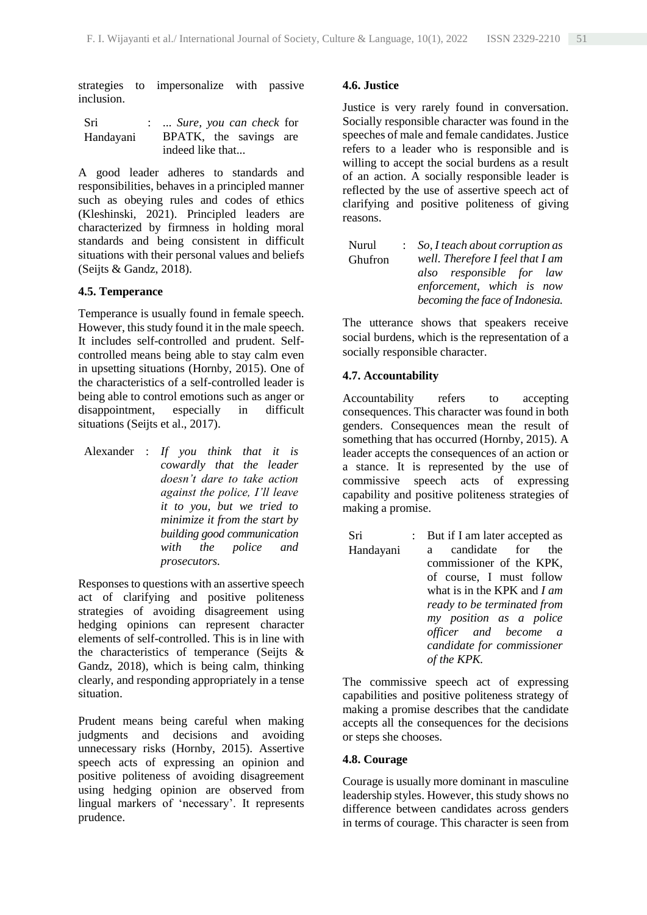strategies to impersonalize with passive inclusion.

| Sri       | :  Sure, you can check for |
|-----------|----------------------------|
| Handayani | BPATK, the savings are     |
|           | indeed like that           |

A good leader adheres to standards and responsibilities, behaves in a principled manner such as obeying rules and codes of ethics (Kleshinski, 2021). Principled leaders are characterized by firmness in holding moral standards and being consistent in difficult situations with their personal values and beliefs (Seijts & Gandz, 2018).

### **4.5. Temperance**

Temperance is usually found in female speech. However, this study found it in the male speech. It includes self-controlled and prudent. Selfcontrolled means being able to stay calm even in upsetting situations (Hornby, 2015). One of the characteristics of a self-controlled leader is being able to control emotions such as anger or disappointment, especially in difficult situations (Seijts et al., 2017).

Alexander : *If you think that it is cowardly that the leader doesn't dare to take action against the police, I'll leave it to you, but we tried to minimize it from the start by building good communication with the police and prosecutors.*

Responses to questions with an assertive speech act of clarifying and positive politeness strategies of avoiding disagreement using hedging opinions can represent character elements of self-controlled. This is in line with the characteristics of temperance (Seijts & Gandz, 2018), which is being calm, thinking clearly, and responding appropriately in a tense situation.

Prudent means being careful when making judgments and decisions and avoiding unnecessary risks (Hornby, 2015). Assertive speech acts of expressing an opinion and positive politeness of avoiding disagreement using hedging opinion are observed from lingual markers of 'necessary'. It represents prudence.

## **4.6. Justice**

Justice is very rarely found in conversation. Socially responsible character was found in the speeches of male and female candidates. Justice refers to a leader who is responsible and is willing to accept the social burdens as a result of an action. A socially responsible leader is reflected by the use of assertive speech act of clarifying and positive politeness of giving reasons.

| Nurul   | $\therefore$ So, I teach about corruption as |
|---------|----------------------------------------------|
| Ghufron | well. Therefore I feel that I am             |
|         | also responsible for law                     |
|         | enforcement, which is now                    |
|         | becoming the face of Indonesia.              |

The utterance shows that speakers receive social burdens, which is the representation of a socially responsible character.

# **4.7. Accountability**

Accountability refers to accepting consequences. This character was found in both genders. Consequences mean the result of something that has occurred (Hornby, 2015). A leader accepts the consequences of an action or a stance. It is represented by the use of commissive speech acts of expressing capability and positive politeness strategies of making a promise.

Sri Handayani : But if I am later accepted as a candidate for the commissioner of the KPK, of course, I must follow what is in the KPK and *I am ready to be terminated from my position as a police officer and become a candidate for commissioner of the KPK.*

The commissive speech act of expressing capabilities and positive politeness strategy of making a promise describes that the candidate accepts all the consequences for the decisions or steps she chooses.

# **4.8. Courage**

Courage is usually more dominant in masculine leadership styles. However, this study shows no difference between candidates across genders in terms of courage. This character is seen from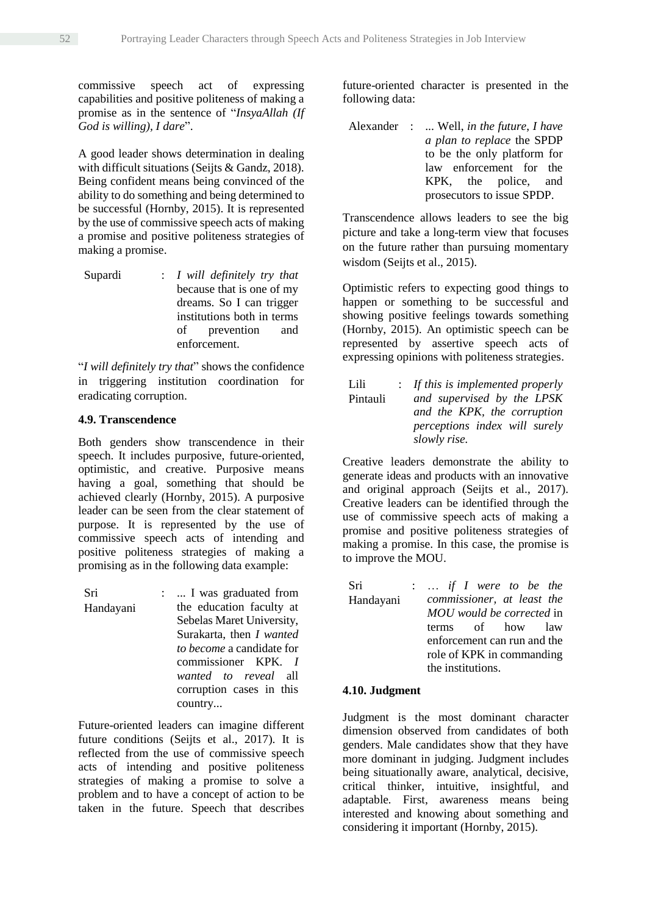commissive speech act of expressing capabilities and positive politeness of making a promise as in the sentence of "*InsyaAllah (If God is willing), I dare*".

A good leader shows determination in dealing with difficult situations (Seijts & Gandz, 2018). Being confident means being convinced of the ability to do something and being determined to be successful (Hornby, 2015). It is represented by the use of commissive speech acts of making a promise and positive politeness strategies of making a promise.

Supardi : *I will definitely try that* because that is one of my dreams. So I can trigger institutions both in terms of prevention and enforcement.

"*I will definitely try that*" shows the confidence in triggering institution coordination for eradicating corruption.

#### **4.9. Transcendence**

Both genders show transcendence in their speech. It includes purposive, future-oriented, optimistic, and creative. Purposive means having a goal, something that should be achieved clearly (Hornby, 2015). A purposive leader can be seen from the clear statement of purpose. It is represented by the use of commissive speech acts of intending and positive politeness strategies of making a promising as in the following data example:

Sri Handayani : ... I was graduated from the education faculty at Sebelas Maret University, Surakarta, then *I wanted to become* a candidate for commissioner KPK*. I wanted to reveal* all corruption cases in this country...

Future-oriented leaders can imagine different future conditions (Seijts et al., 2017). It is reflected from the use of commissive speech acts of intending and positive politeness strategies of making a promise to solve a problem and to have a concept of action to be taken in the future. Speech that describes future-oriented character is presented in the following data:

Alexander : ... Well, *in the future*, *I have a plan to replace* the SPDP to be the only platform for law enforcement for the KPK, the police, and prosecutors to issue SPDP.

Transcendence allows leaders to see the big picture and take a long-term view that focuses on the future rather than pursuing momentary wisdom (Seijts et al., 2015).

Optimistic refers to expecting good things to happen or something to be successful and showing positive feelings towards something (Hornby, 2015). An optimistic speech can be represented by assertive speech acts of expressing opinions with politeness strategies.

Lili Pintauli : *If this is implemented properly and supervised by the LPSK and the KPK, the corruption perceptions index will surely slowly rise.*

Creative leaders demonstrate the ability to generate ideas and products with an innovative and original approach (Seijts et al., 2017). Creative leaders can be identified through the use of commissive speech acts of making a promise and positive politeness strategies of making a promise. In this case, the promise is to improve the MOU.

Sri Handayani : … *if I were to be the commissioner, at least the MOU would be corrected* in terms of how law enforcement can run and the role of KPK in commanding the institutions.

#### **4.10. Judgment**

Judgment is the most dominant character dimension observed from candidates of both genders. Male candidates show that they have more dominant in judging. Judgment includes being situationally aware, analytical, decisive, critical thinker, intuitive, insightful, and adaptable*.* First, awareness means being interested and knowing about something and considering it important (Hornby, 2015).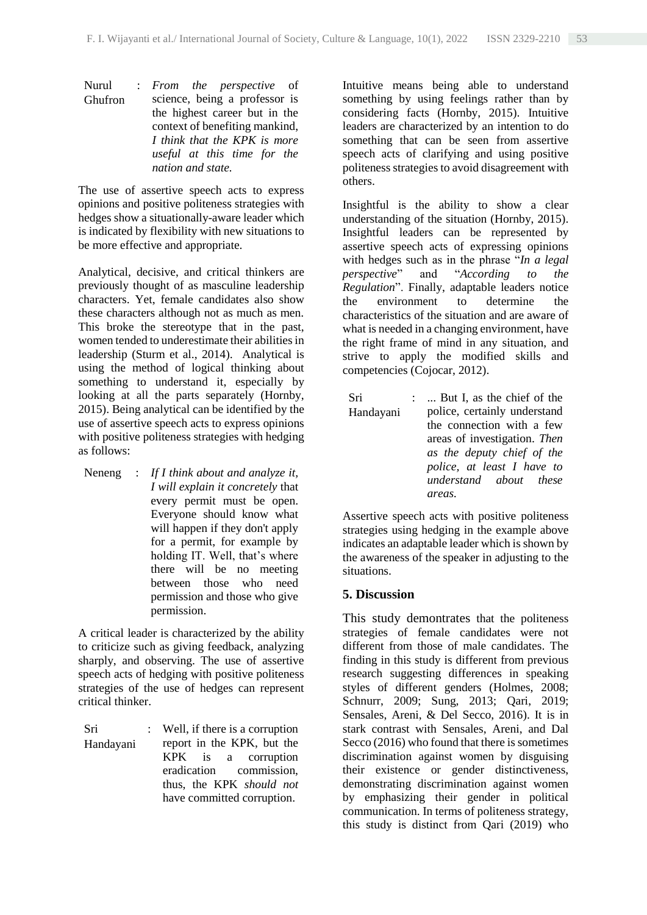Nurul Ghufron : *From the perspective* of science, being a professor is the highest career but in the context of benefiting mankind, *I think that the KPK is more useful at this time for the nation and state.*

The use of assertive speech acts to express opinions and positive politeness strategies with hedges show a situationally-aware leader which is indicated by flexibility with new situations to be more effective and appropriate.

Analytical, decisive, and critical thinkers are previously thought of as masculine leadership characters. Yet, female candidates also show these characters although not as much as men. This broke the stereotype that in the past, women tended to underestimate their abilities in leadership (Sturm et al., 2014). Analytical is using the method of logical thinking about something to understand it, especially by looking at all the parts separately (Hornby, 2015). Being analytical can be identified by the use of assertive speech acts to express opinions with positive politeness strategies with hedging as follows:

Neneng : *If I think about and analyze it, I will explain it concretely* that every permit must be open. Everyone should know what will happen if they don't apply for a permit, for example by holding IT. Well, that's where there will be no meeting between those who need permission and those who give permission.

A critical leader is characterized by the ability to criticize such as giving feedback, analyzing sharply, and observing. The use of assertive speech acts of hedging with positive politeness strategies of the use of hedges can represent critical thinker.

| Sri       | : Well, if there is a corruption |
|-----------|----------------------------------|
| Handayani | report in the KPK, but the       |
|           | KPK is a corruption              |
|           | eradication commission,          |
|           | thus, the KPK should not         |
|           | have committed corruption.       |

Intuitive means being able to understand something by using feelings rather than by considering facts (Hornby, 2015). Intuitive leaders are characterized by an intention to do something that can be seen from assertive speech acts of clarifying and using positive politeness strategies to avoid disagreement with others.

Insightful is the ability to show a clear understanding of the situation (Hornby, 2015). Insightful leaders can be represented by assertive speech acts of expressing opinions with hedges such as in the phrase "*In a legal perspective*" and "*According to the Regulation*". Finally, adaptable leaders notice the environment to determine the characteristics of the situation and are aware of what is needed in a changing environment, have the right frame of mind in any situation, and strive to apply the modified skills and competencies (Cojocar, 2012).

| Sri       | $\mathbb{R}^n$ | But I, as the chief of the   |
|-----------|----------------|------------------------------|
| Handayani |                | police, certainly understand |
|           |                | the connection with a few    |
|           |                | areas of investigation. Then |
|           |                | as the deputy chief of the   |
|           |                | police, at least I have to   |
|           |                | understand about these       |
|           |                | areas.                       |
|           |                |                              |

Assertive speech acts with positive politeness strategies using hedging in the example above indicates an adaptable leader which is shown by the awareness of the speaker in adjusting to the situations.

# **5. Discussion**

This study demontrates that the politeness strategies of female candidates were not different from those of male candidates. The finding in this study is different from previous research suggesting differences in speaking styles of different genders (Holmes, 2008; Schnurr, 2009; Sung, 2013; Qari, 2019; Sensales, Areni, & Del Secco, 2016). It is in stark contrast with Sensales, Areni, and Dal Secco (2016) who found that there is sometimes discrimination against women by disguising their existence or gender distinctiveness, demonstrating discrimination against women by emphasizing their gender in political communication. In terms of politeness strategy, this study is distinct from Qari (2019) who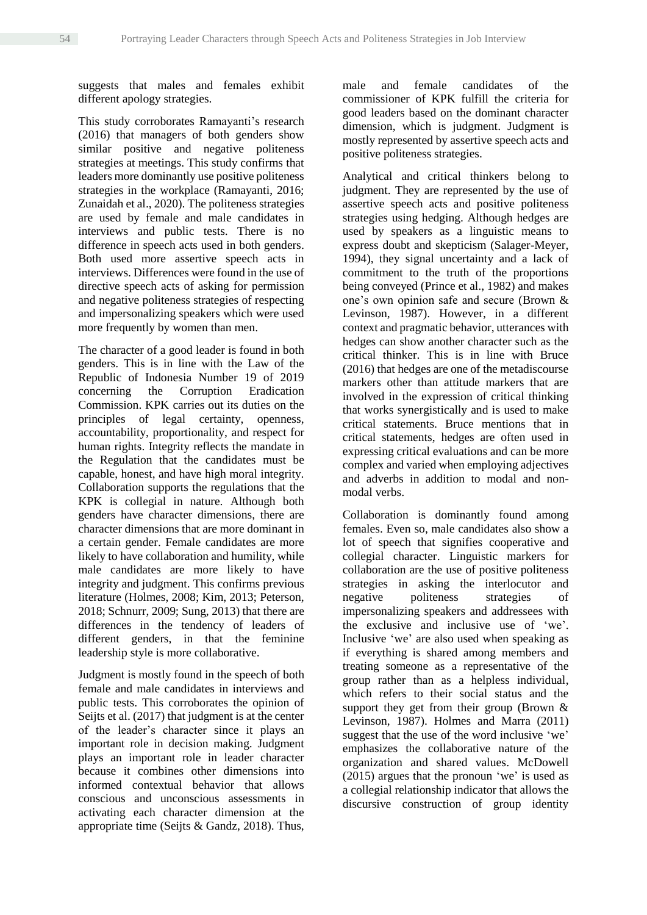suggests that males and females exhibit different apology strategies.

This study corroborates Ramayanti's research (2016) that managers of both genders show similar positive and negative politeness strategies at meetings. This study confirms that leaders more dominantly use positive politeness strategies in the workplace (Ramayanti, 2016; Zunaidah et al., 2020). The politeness strategies are used by female and male candidates in interviews and public tests. There is no difference in speech acts used in both genders. Both used more assertive speech acts in interviews. Differences were found in the use of directive speech acts of asking for permission and negative politeness strategies of respecting and impersonalizing speakers which were used more frequently by women than men.

The character of a good leader is found in both genders. This is in line with the Law of the Republic of Indonesia Number 19 of 2019 concerning the Corruption Eradication Commission. KPK carries out its duties on the principles of legal certainty, openness, accountability, proportionality, and respect for human rights. Integrity reflects the mandate in the Regulation that the candidates must be capable, honest, and have high moral integrity. Collaboration supports the regulations that the KPK is collegial in nature. Although both genders have character dimensions, there are character dimensions that are more dominant in a certain gender. Female candidates are more likely to have collaboration and humility, while male candidates are more likely to have integrity and judgment. This confirms previous literature (Holmes, 2008; Kim, 2013; Peterson, 2018; Schnurr, 2009; Sung, 2013) that there are differences in the tendency of leaders of different genders, in that the feminine leadership style is more collaborative.

Judgment is mostly found in the speech of both female and male candidates in interviews and public tests. This corroborates the opinion of Seijts et al. (2017) that judgment is at the center of the leader's character since it plays an important role in decision making. Judgment plays an important role in leader character because it combines other dimensions into informed contextual behavior that allows conscious and unconscious assessments in activating each character dimension at the appropriate time (Seijts & Gandz, 2018). Thus, male and female candidates of the commissioner of KPK fulfill the criteria for good leaders based on the dominant character dimension, which is judgment. Judgment is mostly represented by assertive speech acts and positive politeness strategies.

Analytical and critical thinkers belong to judgment. They are represented by the use of assertive speech acts and positive politeness strategies using hedging. Although hedges are used by speakers as a linguistic means to express doubt and skepticism (Salager-Meyer, 1994), they signal uncertainty and a lack of commitment to the truth of the proportions being conveyed (Prince et al., 1982) and makes one's own opinion safe and secure (Brown & Levinson, 1987). However, in a different context and pragmatic behavior, utterances with hedges can show another character such as the critical thinker. This is in line with Bruce (2016) that hedges are one of the metadiscourse markers other than attitude markers that are involved in the expression of critical thinking that works synergistically and is used to make critical statements. Bruce mentions that in critical statements, hedges are often used in expressing critical evaluations and can be more complex and varied when employing adjectives and adverbs in addition to modal and nonmodal verbs.

Collaboration is dominantly found among females. Even so, male candidates also show a lot of speech that signifies cooperative and collegial character. Linguistic markers for collaboration are the use of positive politeness strategies in asking the interlocutor and negative politeness strategies of impersonalizing speakers and addressees with the exclusive and inclusive use of 'we'. Inclusive 'we' are also used when speaking as if everything is shared among members and treating someone as a representative of the group rather than as a helpless individual, which refers to their social status and the support they get from their group (Brown & Levinson, 1987). Holmes and Marra (2011) suggest that the use of the word inclusive 'we' emphasizes the collaborative nature of the organization and shared values. McDowell (2015) argues that the pronoun 'we' is used as a collegial relationship indicator that allows the discursive construction of group identity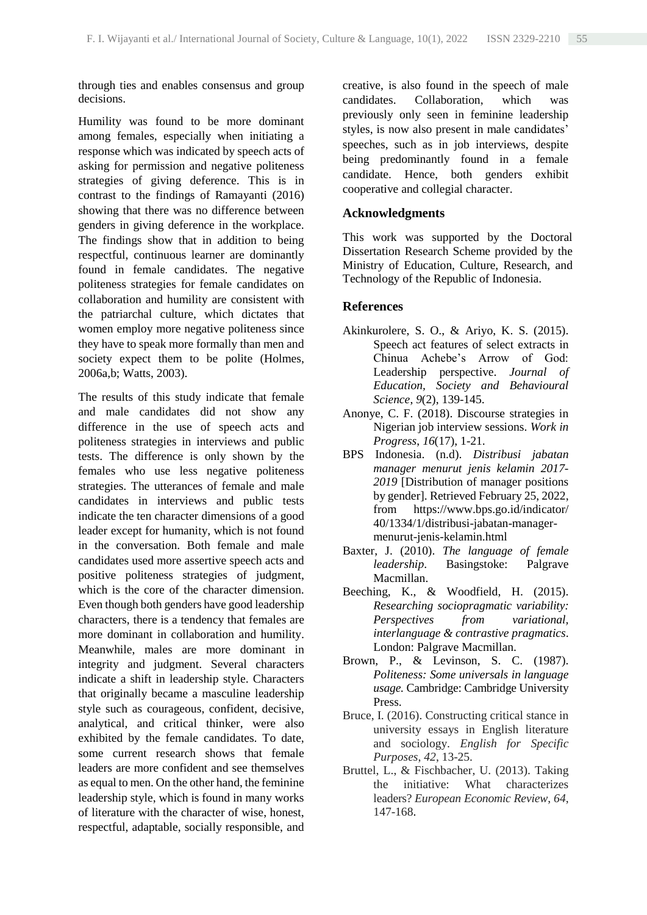through ties and enables consensus and group decisions.

Humility was found to be more dominant among females, especially when initiating a response which was indicated by speech acts of asking for permission and negative politeness strategies of giving deference. This is in contrast to the findings of Ramayanti (2016) showing that there was no difference between genders in giving deference in the workplace. The findings show that in addition to being respectful, continuous learner are dominantly found in female candidates. The negative politeness strategies for female candidates on collaboration and humility are consistent with the patriarchal culture, which dictates that women employ more negative politeness since they have to speak more formally than men and society expect them to be polite (Holmes, 2006a,b; Watts, 2003).

The results of this study indicate that female and male candidates did not show any difference in the use of speech acts and politeness strategies in interviews and public tests. The difference is only shown by the females who use less negative politeness strategies. The utterances of female and male candidates in interviews and public tests indicate the ten character dimensions of a good leader except for humanity, which is not found in the conversation. Both female and male candidates used more assertive speech acts and positive politeness strategies of judgment, which is the core of the character dimension. Even though both genders have good leadership characters, there is a tendency that females are more dominant in collaboration and humility. Meanwhile, males are more dominant in integrity and judgment. Several characters indicate a shift in leadership style. Characters that originally became a masculine leadership style such as courageous, confident, decisive, analytical, and critical thinker, were also exhibited by the female candidates. To date, some current research shows that female leaders are more confident and see themselves as equal to men. On the other hand, the feminine leadership style, which is found in many works of literature with the character of wise, honest, respectful, adaptable, socially responsible, and creative, is also found in the speech of male candidates. Collaboration, which was previously only seen in feminine leadership styles, is now also present in male candidates' speeches, such as in job interviews, despite being predominantly found in a female candidate. Hence, both genders exhibit cooperative and collegial character.

# **Acknowledgments**

This work was supported by the Doctoral Dissertation Research Scheme provided by the Ministry of Education, Culture, Research, and Technology of the Republic of Indonesia.

# **References**

- Akinkurolere, S. O., & Ariyo, K. S. (2015). Speech act features of select extracts in Chinua Achebe's Arrow of God: Leadership perspective. *Journal of Education, Society and Behavioural Science*, *9*(2), 139-145.
- Anonye, C. F. (2018). Discourse strategies in Nigerian job interview sessions. *Work in Progress*, *16*(17), 1-21.
- BPS Indonesia. (n.d). *Distribusi jabatan manager menurut jenis kelamin 2017- 2019* [Distribution of manager positions by gender]. Retrieved February 25, 2022, from https://www.bps.go.id/indicator/ 40/1334/1/distribusi-jabatan-managermenurut-jenis-kelamin.html
- Baxter, J. (2010). *The language of female leadership*. Basingstoke: Palgrave Macmillan.
- Beeching, K., & Woodfield, H. (2015). *Researching sociopragmatic variability: Perspectives from variational, interlanguage & contrastive pragmatics*. London: Palgrave Macmillan.
- Brown, P., & Levinson, S. C. (1987). *Politeness: Some universals in language usage.* Cambridge: Cambridge University Press.
- Bruce, I. (2016). Constructing critical stance in university essays in English literature and sociology. *English for Specific Purposes*, *42*, 13-25.
- Bruttel, L., & Fischbacher, U. (2013). Taking the initiative: What characterizes leaders? *European Economic Review*, *64*, 147-168.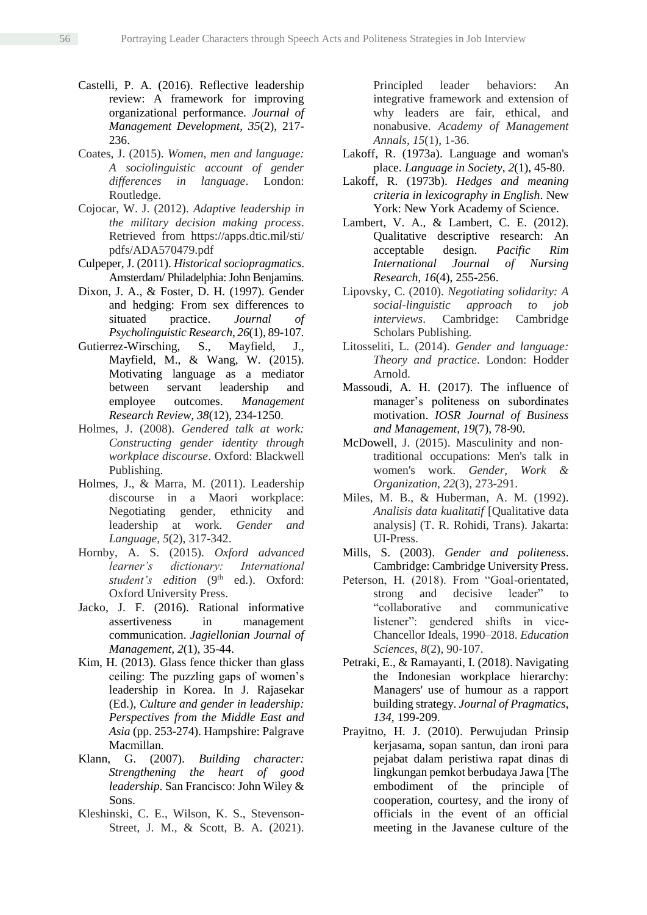- Castelli, P. A. (2016). Reflective leadership review: A framework for improving organizational performance. *Journal of Management Development*, *35*(2), 217- 236.
- Coates, J. (2015). *Women, men and language: A sociolinguistic account of gender differences in language*. London: Routledge.
- Cojocar, W. J. (2012). *Adaptive leadership in the military decision making process*. Retrieved from https://apps.dtic.mil/sti/ pdfs/ADA570479.pdf
- Culpeper, J. (2011). *Historical sociopragmatics*. Amsterdam/ Philadelphia: John Benjamins.
- Dixon, J. A., & Foster, D. H. (1997). Gender and hedging: From sex differences to situated practice. *Journal of Psycholinguistic Research*, *26*(1), 89-107.
- Gutierrez-Wirsching, S., Mayfield, J., Mayfield, M., & Wang, W. (2015). Motivating language as a mediator between servant leadership and employee outcomes. *Management Research Review, 38*(12), 234-1250.
- Holmes, J. (2008). *Gendered talk at work: Constructing gender identity through workplace discourse*. Oxford: Blackwell Publishing.
- Holmes, J., & Marra, M. (2011). Leadership discourse in a Maori workplace: Negotiating gender, ethnicity and leadership at work. *Gender and Language*, *5*(2), 317-342.
- Hornby, A. S. (2015). *Oxford advanced learner's dictionary: International*  student's edition (9<sup>th</sup> ed.). Oxford: Oxford University Press.
- Jacko, J. F. (2016). Rational informative assertiveness in management communication. *Jagiellonian Journal of Management, 2*(1), 35-44.
- Kim, H. (2013). Glass fence thicker than glass ceiling: The puzzling gaps of women's leadership in Korea. In J. Rajasekar (Ed.), *Culture and gender in leadership: Perspectives from the Middle East and Asia* (pp. 253-274). Hampshire: Palgrave Macmillan.
- Klann, G. (2007). *Building character: Strengthening the heart of good leadership*. San Francisco: John Wiley & Sons.
- Kleshinski, C. E., Wilson, K. S., Stevenson-Street, J. M., & Scott, B. A. (2021).

Principled leader behaviors: An integrative framework and extension of why leaders are fair, ethical, and nonabusive. *Academy of Management Annals*, *15*(1), 1-36.

- Lakoff, R. (1973a). Language and woman's place. *Language in Society*, *2*(1), 45-80.
- Lakoff, R. (1973b). *Hedges and meaning criteria in lexicography in English*. New York: New York Academy of Science.
- Lambert, V. A., & Lambert, C. E. (2012). Qualitative descriptive research: An acceptable design. *Pacific Rim International Journal of Nursing Research*, *16*(4), 255-256.
- Lipovsky, C. (2010). *Negotiating solidarity: A social-linguistic approach to job interviews*. Cambridge: Cambridge Scholars Publishing.
- Litosseliti, L. (2014). *Gender and language: Theory and practice*. London: Hodder Arnold.
- Massoudi, A. H. (2017). The influence of manager's politeness on subordinates motivation. *IOSR Journal of Business and Management*, *19*(7), 78-90.
- McDowell, J. (2015). Masculinity and nontraditional occupations: Men's talk in women's work. *Gender, Work & Organization*, *22*(3), 273-291.
- Miles, M. B., & Huberman, A. M. (1992). *Analisis data kualitatif* [Qualitative data analysis] (T. R. Rohidi, Trans). Jakarta: UI-Press.
- Mills, S. (2003). *Gender and politeness*. Cambridge: Cambridge University Press.
- Peterson, H. (2018). From "Goal-orientated, strong and decisive leader" to "collaborative and communicative listener": gendered shifts in vice-Chancellor Ideals, 1990–2018. *Education Sciences*, *8*(2), 90-107.
- Petraki, E., & Ramayanti, I. (2018). Navigating the Indonesian workplace hierarchy: Managers' use of humour as a rapport building strategy. *Journal of Pragmatics*, *134*, 199-209.
- Prayitno, H. J. (2010). Perwujudan Prinsip kerjasama, sopan santun, dan ironi para pejabat dalam peristiwa rapat dinas di lingkungan pemkot berbudaya Jawa [The embodiment of the principle of cooperation, courtesy, and the irony of officials in the event of an official meeting in the Javanese culture of the